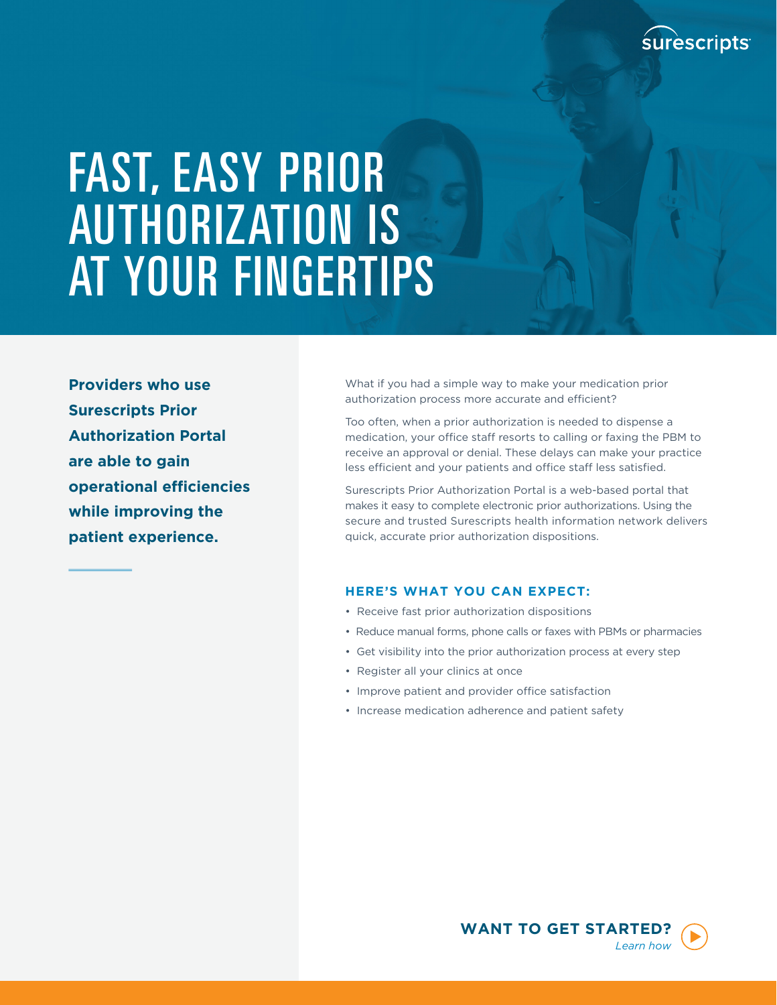

# FAST, EASY PRIOR AUTHORIZATION IS AT YOUR FINGERTIPS

**Providers who use Surescripts Prior Authorization Portal are able to gain operational efficiencies while improving the patient experience.** 

What if you had a simple way to make your medication prior authorization process more accurate and efficient?

Too often, when a prior authorization is needed to dispense a medication, your office staff resorts to calling or faxing the PBM to receive an approval or denial. These delays can make your practice less efficient and your patients and office staff less satisfied.

Surescripts Prior Authorization Portal is a web-based portal that makes it easy to complete electronic prior authorizations. Using the secure and trusted Surescripts health information network delivers quick, accurate prior authorization dispositions.

#### **HERE'S WHAT YOU CAN EXPECT:**

- Receive fast prior authorization dispositions
- Reduce manual forms, phone calls or faxes with PBMs or pharmacies
- Get visibility into the prior authorization process at every step
- Register all your clinics at once
- Improve patient and provider office satisfaction
- Increase medication adherence and patient safety